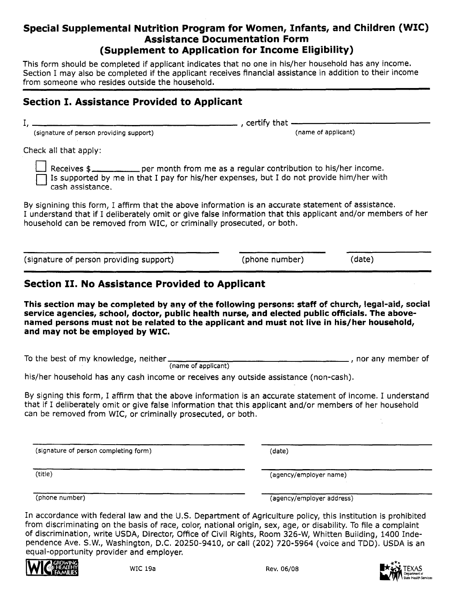#### **Special Supplemental Nutrition Program for Women, Infants, and Children (WIC) Assistance Documentation Form (Supplement to Application for Income Eligibility)**

This form should be completed if applicant indicates that no one in his/her household has any income. Section i may also be completed if the applicant receives financial assistance in addition to their income from someone who resides outside the household.

## **Section I. Assistance Provided to Applicant** I, , certify that-------------

(signature of person providing support) (name of applicant)

Check all that apply:

Receives  $\frac{1}{2}$  per month from me as a regular contribution to his/her income.<br>Is supported by me in that I pay for his/her expenses, but I do not provide him/her with cash assistance.

By signining this form, I affirm that the above information is an accurate statement of assistance. I understand that if I deliberately omit or give false information that this applicant and/or members of her household can be removed from WIC, or criminally prosecuted, or both.

(signature of person providing support) (phone number) (date)

### **Section II. No Assistance Provided to Applicant**

**This section may be completed by any of the following persons: staff of church, legal-aid, socia! service agencies, school, doctor, public health nurse, and elected public officials. The abovenamed persons must not be related to the applicant and must not live in his/her household, and may not be employed by WIC.**

To the best of my knowledge, neither , nor any member of (name of applicant)

his/her household has any cash income or receives any outside assistance (non-cash).

By signing this form, I affirm that the above information is an accurate statement of income. I understand that if I deliberately omit or give false information that this applicant and/or members of her household can be removed from WIC, or criminally prosecuted, or both.

(signature of person completing form) (date)

(title) (agency/employer name)

(phone number) (agency/employer address)

In accordance with federal law and the U.S. Department of Agriculture policy, this institution is prohibited from discriminating on the basis of race, color, national origin, sex, age, or disability. To file a complaint of discrimination, write USDA, Director, Office of Civil Rights, Room 326-W, Whitten Building, 1400 Independence Ave. S.W., Washington, D.C. 20250-9410, or call (202) 720-5964 (voice and TDD). USDA is an equal-opportunity provider and employer.